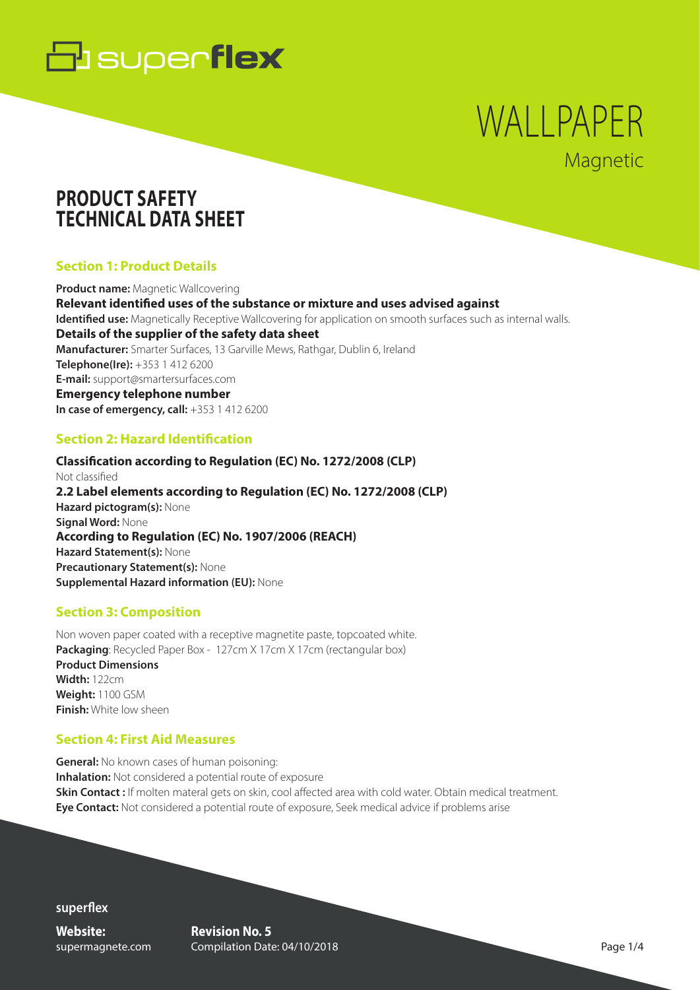

# WALLPAPER **Magnetic**

# **PRODUCT SAFETY TECHNICAL DATA SHEET**

# **Section 1: Product Details**

**Product name:** Magnetic Wallcovering **Relevant identified uses of the substance or mixture and uses advised against Identified use:** Magnetically Receptive Wallcovering for application on smooth surfaces such as internal walls. **Details of the supplier of the safety data sheet Manufacturer:** Smarter Surfaces, 13 Garville Mews, Rathgar, Dublin 6, Ireland **Telephone(Ire):** +353 1 412 6200 **E-mail:** support@smartersurfaces.com **Emergency telephone number In case of emergency, call:** +353 1 412 6200

### **Section 2: Hazard Identification**

**Classification according to Regulation (EC) No. 1272/2008 (CLP)** Not classified **2.2 Label elements according to Regulation (EC) No. 1272/2008 (CLP) Hazard pictogram(s):** None **Signal Word:** None **According to Regulation (EC) No. 1907/2006 (REACH) Hazard Statement(s):** None **Precautionary Statement(s):** None **Supplemental Hazard information (EU):** None

### **Section 3: Composition**

Non woven paper coated with a receptive magnetite paste, topcoated white. **Packaging**: Recycled Paper Box - 127cm X 17cm X 17cm (rectangular box) **Product Dimensions Width:** 122cm **Weight:** 1100 GSM **Finish:** White low sheen

### **Section 4: First Aid Measures**

**General:** No known cases of human poisoning: **Inhalation:** Not considered a potential route of exposure **Skin Contact :** If molten materal gets on skin, cool affected area with cold water. Obtain medical treatment. **Eye Contact:** Not considered a potential route of exposure, Seek medical advice if problems arise

**superflex**

**Website:** supermagnete.com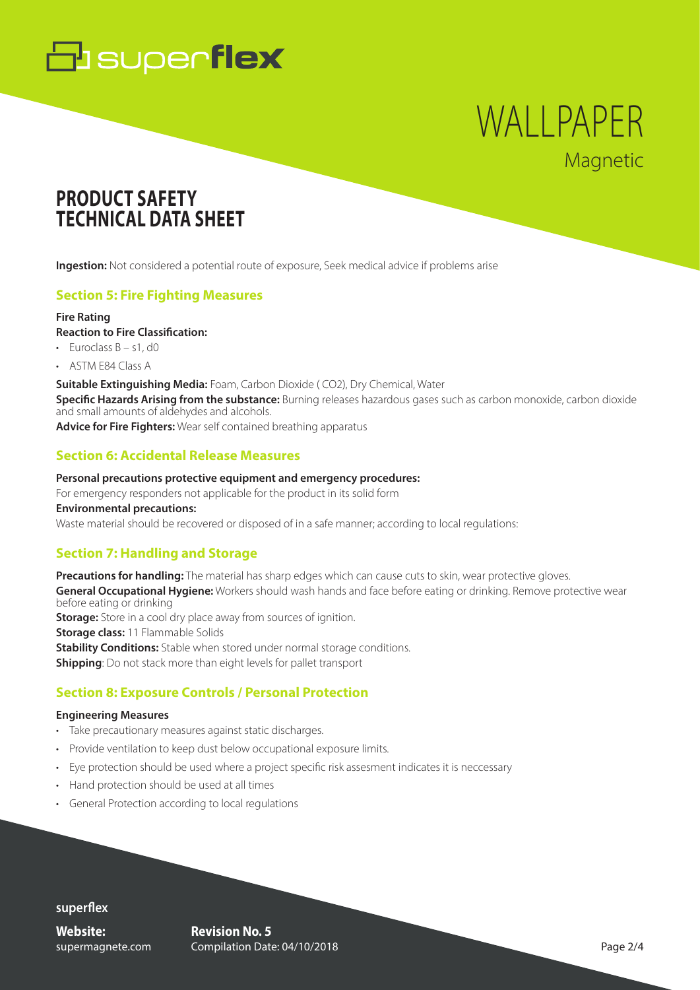# **B** superflex

# WALLPAPER Magnetic

# **PRODUCT SAFETY TECHNICAL DATA SHEET**

**Ingestion:** Not considered a potential route of exposure, Seek medical advice if problems arise

# **Section 5: Fire Fighting Measures**

#### **Fire Rating**

**Reaction to Fire Classification:**

- $\cdot$  Euroclass B s1, d0
- ASTM E84 Class A

**Suitable Extinguishing Media:** Foam, Carbon Dioxide ( CO2), Dry Chemical, Water **Specific Hazards Arising from the substance:** Burning releases hazardous gases such as carbon monoxide, carbon dioxide and small amounts of aldehydes and alcohols.

**Advice for Fire Fighters:** Wear self contained breathing apparatus

### **Section 6: Accidental Release Measures**

#### **Personal precautions protective equipment and emergency procedures:**

For emergency responders not applicable for the product in its solid form

**Environmental precautions:**

Waste material should be recovered or disposed of in a safe manner; according to local regulations:

### **Section 7: Handling and Storage**

**Precautions for handling:** The material has sharp edges which can cause cuts to skin, wear protective gloves. **General Occupational Hygiene:** Workers should wash hands and face before eating or drinking. Remove protective wear before eating or drinking **Storage:** Store in a cool dry place away from sources of ignition. **Storage class: 11 Flammable Solids Stability Conditions:** Stable when stored under normal storage conditions. **Shipping**: Do not stack more than eight levels for pallet transport

# **Section 8: Exposure Controls / Personal Protection**

#### **Engineering Measures**

- Take precautionary measures against static discharges.
- Provide ventilation to keep dust below occupational exposure limits.
- Eye protection should be used where a project specific risk assesment indicates it is neccessary
- Hand protection should be used at all times
- General Protection according to local regulations

#### **superflex**

**Website:** supermagnete.com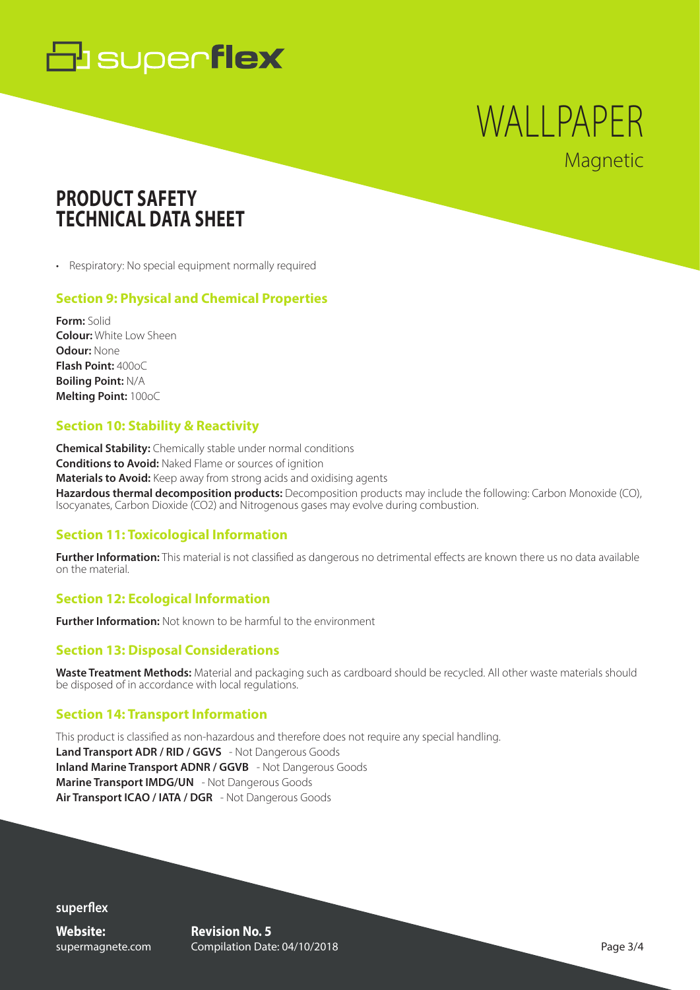# **B** superflex

# WALLPAPER Magnetic

# **PRODUCT SAFETY TECHNICAL DATA SHEET**

• Respiratory: No special equipment normally required

# **Section 9: Physical and Chemical Properties**

**Form:** Solid **Colour:** White Low Sheen **Odour:** None **Flash Point:** 400oC **Boiling Point:** N/A **Melting Point:** 100oC

# **Section 10: Stability & Reactivity**

**Chemical Stability:** Chemically stable under normal conditions **Conditions to Avoid:** Naked Flame or sources of ignition **Materials to Avoid:** Keep away from strong acids and oxidising agents **Hazardous thermal decomposition products:** Decomposition products may include the following: Carbon Monoxide (CO), Isocyanates, Carbon Dioxide (CO2) and Nitrogenous gases may evolve during combustion.

# **Section 11: Toxicological Information**

**Further Information:** This material is not classified as dangerous no detrimental effects are known there us no data available on the material.

# **Section 12: Ecological Information**

**Further Information:** Not known to be harmful to the environment

# **Section 13: Disposal Considerations**

**Waste Treatment Methods:** Material and packaging such as cardboard should be recycled. All other waste materials should be disposed of in accordance with local regulations.

# **Section 14: Transport Information**

This product is classified as non-hazardous and therefore does not require any special handling. **Land Transport ADR / RID / GGVS** - Not Dangerous Goods **Inland Marine Transport ADNR / GGVB** - Not Dangerous Goods **Marine Transport IMDG/UN** - Not Dangerous Goods **Air Transport ICAO / IATA / DGR** - Not Dangerous Goods

**superflex**

**Website:** supermagnete.com